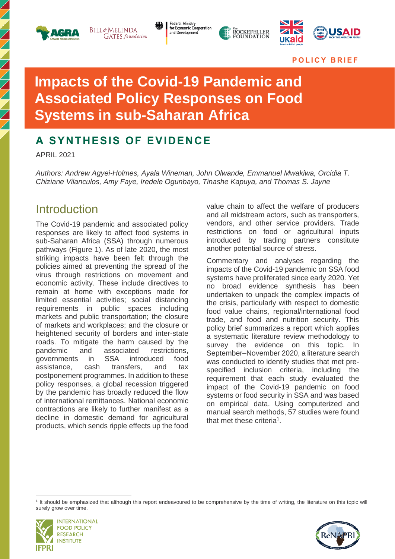

**BILL**&MELINDA **GATES** foundation **Federal Ministry** for Economic Cooperation and Development





**P O L I C Y B R I E F** 

# **Impacts of the Covid-19 Pandemic and Associated Policy Responses on Food Systems in sub-Saharan Africa**

# **A SYNTHESIS OF EVIDENCE**

APRIL 2021

*Authors: Andrew Agyei-Holmes, Ayala Wineman, John Olwande, Emmanuel Mwakiwa, Orcidia T. Chiziane Vilanculos, Amy Faye, Iredele Ogunbayo, Tinashe Kapuya, and Thomas S. Jayne*

# **Introduction**

The Covid-19 pandemic and associated policy responses are likely to affect food systems in sub-Saharan Africa (SSA) through numerous pathways (Figure 1). As of late 2020, the most striking impacts have been felt through the policies aimed at preventing the spread of the virus through restrictions on movement and economic activity. These include directives to remain at home with exceptions made for limited essential activities; social distancing requirements in public spaces including markets and public transportation; the closure of markets and workplaces; and the closure or heightened security of borders and inter-state roads. To mitigate the harm caused by the pandemic and associated restrictions, governments in SSA introduced food assistance, cash transfers, and tax postponement programmes. In addition to these policy responses, a global recession triggered by the pandemic has broadly reduced the flow of international remittances. National economic contractions are likely to further manifest as a decline in domestic demand for agricultural products, which sends ripple effects up the food value chain to affect the welfare of producers and all midstream actors, such as transporters, vendors, and other service providers. Trade restrictions on food or agricultural inputs introduced by trading partners constitute another potential source of stress.

Commentary and analyses regarding the impacts of the Covid-19 pandemic on SSA food systems have proliferated since early 2020. Yet no broad evidence synthesis has been undertaken to unpack the complex impacts of the crisis, particularly with respect to domestic food value chains, regional/international food trade, and food and nutrition security. This policy brief summarizes a report which applies a systematic literature review methodology to survey the evidence on this topic. In September–November 2020, a literature search was conducted to identify studies that met prespecified inclusion criteria, including the requirement that each study evaluated the impact of the Covid-19 pandemic on food systems or food security in SSA and was based on empirical data. Using computerized and manual search methods, 57 studies were found that met these criteria<sup>1</sup>.

<sup>&</sup>lt;sup>1</sup> It should be emphasized that although this report endeavoured to be comprehensive by the time of writing, the literature on this topic will surely grow over time.



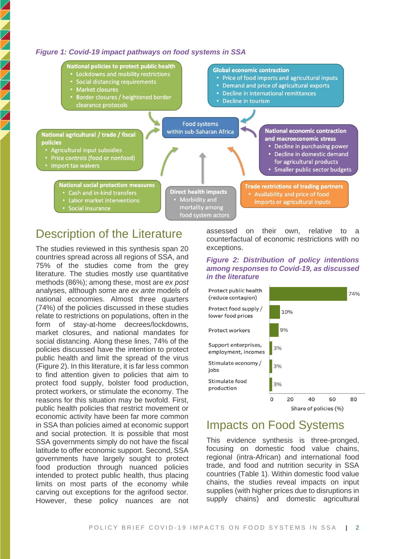### *Figure 1: Covid-19 impact pathways on food systems in SSA*



# Description of the Literature

The studies reviewed in this synthesis span 20 countries spread across all regions of SSA, and 75% of the studies come from the grey literature. The studies mostly use quantitative methods (86%); among these, most are *ex post* analyses, although some are *ex ante* models of national economies. Almost three quarters (74%) of the policies discussed in these studies relate to restrictions on populations, often in the form of stay-at-home decrees/lockdowns, market closures, and national mandates for social distancing. Along these lines, 74% of the policies discussed have the intention to protect public health and limit the spread of the virus (Figure 2). In this literature, it is far less common to find attention given to policies that aim to protect food supply, bolster food production, protect workers, or stimulate the economy. The reasons for this situation may be twofold. First, public health policies that restrict movement or economic activity have been far more common in SSA than policies aimed at economic support and social protection. It is possible that most SSA governments simply do not have the fiscal latitude to offer economic support. Second, SSA governments have largely sought to protect food production through nuanced policies intended to protect public health, thus placing limits on most parts of the economy while carving out exceptions for the agrifood sector. However, these policy nuances are not

assessed on their own, relative to a counterfactual of economic restrictions with no exceptions.

### *Figure 2: Distribution of policy intentions among responses to Covid-19, as discussed in the literature*



# Impacts on Food Systems

This evidence synthesis is three-pronged, focusing on domestic food value chains, regional (intra-African) and international food trade, and food and nutrition security in SSA countries (Table 1). Within domestic food value chains, the studies reveal impacts on input supplies (with higher prices due to disruptions in supply chains) and domestic agricultural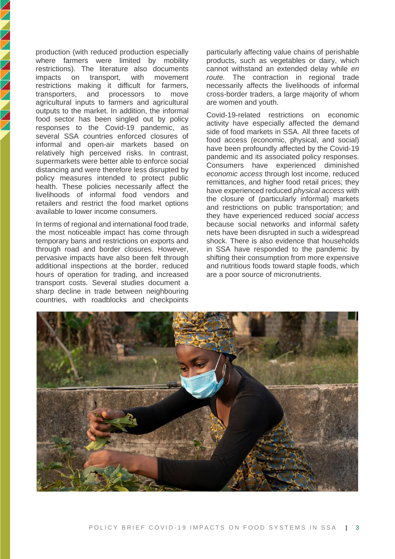production (with reduced production especially where farmers were limited by mobility restrictions). The literature also documents impacts on transport, with movement restrictions making it difficult for farmers, transporters, and processors to move agricultural inputs to farmers and agricultural outputs to the market. In addition, the informal food sector has been singled out by policy responses to the Covid-19 pandemic, as several SSA countries enforced closures of informal and open-air markets based on relatively high perceived risks. In contrast, supermarkets were better able to enforce social distancing and were therefore less disrupted by policy measures intended to protect public health. These policies necessarily affect the livelihoods of informal food vendors and retailers and restrict the food market options available to lower income consumers.

**NNNNNNNNNN** 

In terms of regional and international food trade, the most noticeable impact has come through temporary bans and restrictions on exports and through road and border closures. However, pervasive impacts have also been felt through additional inspections at the border, reduced hours of operation for trading, and increased transport costs. Several studies document a sharp decline in trade between neighbouring countries, with roadblocks and checkpoints

particularly affecting value chains of perishable products, such as vegetables or dairy, which cannot withstand an extended delay while *en route.* The contraction in regional trade necessarily affects the livelihoods of informal cross-border traders, a large majority of whom are women and youth.

Covid-19-related restrictions on economic activity have especially affected the demand side of food markets in SSA. All three facets of food access (economic, physical, and social) have been profoundly affected by the Covid-19 pandemic and its associated policy responses. Consumers have experienced diminished *economic access* through lost income, reduced remittances, and higher food retail prices; they have experienced reduced *physical access* with the closure of (particularly informal) markets and restrictions on public transportation; and they have experienced reduced *social access* because social networks and informal safety nets have been disrupted in such a widespread shock. There is also evidence that households in SSA have responded to the pandemic by shifting their consumption from more expensive and nutritious foods toward staple foods, which are a poor source of micronutrients.

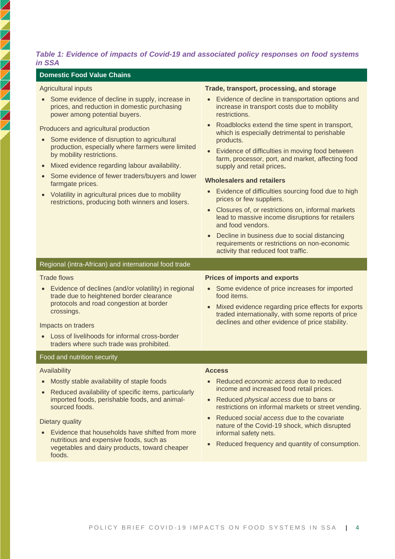### *Table 1: Evidence of impacts of Covid-19 and associated policy responses on food systems in SSA*

#### **Domestic Food Value Chains**

### Agricultural inputs

ノノノノノノノノノノノ

• Some evidence of decline in supply, increase in prices, and reduction in domestic purchasing power among potential buyers.

Producers and agricultural production

- Some evidence of disruption to agricultural production, especially where farmers were limited by mobility restrictions.
- Mixed evidence regarding labour availability.
- Some evidence of fewer traders/buyers and lower farmgate prices.
- Volatility in agricultural prices due to mobility restrictions, producing both winners and losers.

#### **Trade, transport, processing, and storage**

- Evidence of decline in transportation options and increase in transport costs due to mobility restrictions.
- Roadblocks extend the time spent in transport, which is especially detrimental to perishable products.
- Evidence of difficulties in moving food between farm, processor, port, and market, affecting food supply and retail prices**.**

#### **Wholesalers and retailers**

- Evidence of difficulties sourcing food due to high prices or few suppliers.
- Closures of, or restrictions on, informal markets lead to massive income disruptions for retailers and food vendors.
- Decline in business due to social distancing requirements or restrictions on non-economic activity that reduced foot traffic.

Regional (intra-African) and international food trade Trade flows • Evidence of declines (and/or volatility) in regional trade due to heightened border clearance protocols and road congestion at border crossings. **Prices of imports and exports** food items.

Impacts on traders

• Loss of livelihoods for informal cross-border traders where such trade was prohibited.

#### Food and nutrition security

#### Availability

- Mostly stable availability of staple foods
- Reduced availability of specific items, particularly imported foods, perishable foods, and animalsourced foods.

Dietary quality

• Evidence that households have shifted from more nutritious and expensive foods, such as vegetables and dairy products, toward cheaper foods.

- Some evidence of price increases for imported
- Mixed evidence regarding price effects for exports traded internationally, with some reports of price declines and other evidence of price stability.

### **Access**

- Reduced *economic access* due to reduced income and increased food retail prices.
- Reduced *physical access* due to bans or restrictions on informal markets or street vending.
- Reduced *social access* due to the covariate nature of the Covid-19 shock, which disrupted informal safety nets.
- Reduced frequency and quantity of consumption.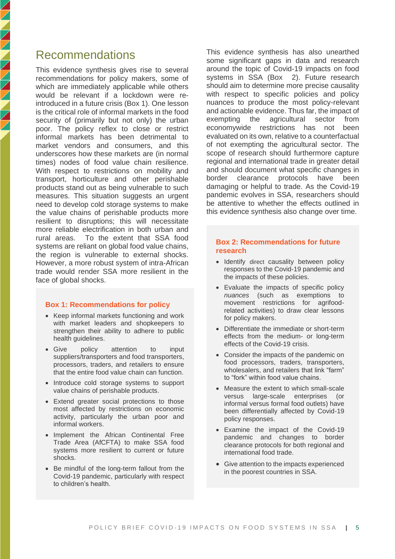# Recommendations

This evidence synthesis gives rise to several recommendations for policy makers, some of which are immediately applicable while others would be relevant if a lockdown were reintroduced in a future crisis (Box 1). One lesson is the critical role of informal markets in the food security of (primarily but not only) the urban poor. The policy reflex to close or restrict informal markets has been detrimental to market vendors and consumers, and this underscores how these markets are (in normal times) nodes of food value chain resilience. With respect to restrictions on mobility and transport, horticulture and other perishable products stand out as being vulnerable to such measures. This situation suggests an urgent need to develop cold storage systems to make the value chains of perishable products more resilient to disruptions; this will necessitate more reliable electrification in both urban and rural areas. To the extent that SSA food systems are reliant on global food value chains, the region is vulnerable to external shocks. However, a more robust system of intra-African trade would render SSA more resilient in the face of global shocks.

### **Box 1: Recommendations for policy**

- Keep informal markets functioning and work with market leaders and shopkeepers to strengthen their ability to adhere to public health guidelines.
- Give policy attention to input suppliers/transporters and food transporters, processors, traders, and retailers to ensure that the entire food value chain can function.
- Introduce cold storage systems to support value chains of perishable products.
- Extend greater social protections to those most affected by restrictions on economic activity, particularly the urban poor and informal workers.
- Implement the African Continental Free Trade Area (AfCFTA) to make SSA food systems more resilient to current or future shocks.
- Be mindful of the long-term fallout from the Covid-19 pandemic, particularly with respect to children's health.

This evidence synthesis has also unearthed some significant gaps in data and research around the topic of Covid-19 impacts on food systems in SSA [\(Box](#page-4-0) 2). Future research should aim to determine more precise causality with respect to specific policies and policy nuances to produce the most policy-relevant and actionable evidence. Thus far, the impact of exempting the agricultural sector from economywide restrictions has not been evaluated on its own, relative to a counterfactual of not exempting the agricultural sector. The scope of research should furthermore capture regional and international trade in greater detail and should document what specific changes in border clearance protocols have been damaging or helpful to trade. As the Covid-19 pandemic evolves in SSA, researchers should be attentive to whether the effects outlined in this evidence synthesis also change over time.

### <span id="page-4-0"></span>**Box 2: Recommendations for future research**

- Identify direct causality between policy responses to the Covid-19 pandemic and the impacts of these policies.
- Evaluate the impacts of specific policy *nuances* (such as exemptions to movement restrictions for agrifoodrelated activities) to draw clear lessons for policy makers.
- Differentiate the immediate or short-term effects from the medium- or long-term effects of the Covid-19 crisis.
- Consider the impacts of the pandemic on food processors, traders, transporters, wholesalers, and retailers that link "farm" to "fork" within food value chains.
- Measure the extent to which small-scale versus large-scale enterprises (or informal versus formal food outlets) have been differentially affected by Covid-19 policy responses.
- Examine the impact of the Covid-19 pandemic and changes to border clearance protocols for both regional and international food trade.
- Give attention to the impacts experienced in the poorest countries in SSA.